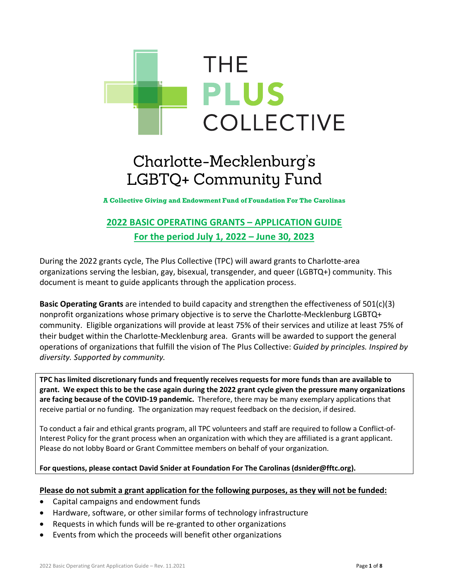

# Charlotte-Mecklenburg's LGBTQ+ Community Fund

**A Collective Giving and Endowment Fund of Foundation For The Carolinas**

# **2022 BASIC OPERATING GRANTS – APPLICATION GUIDE For the period July 1, 2022 – June 30, 2023**

During the 2022 grants cycle, The Plus Collective (TPC) will award grants to Charlotte-area organizations serving the lesbian, gay, bisexual, transgender, and queer (LGBTQ+) community. This document is meant to guide applicants through the application process.

**Basic Operating Grants** are intended to build capacity and strengthen the effectiveness of 501(c)(3) nonprofit organizations whose primary objective is to serve the Charlotte-Mecklenburg LGBTQ+ community. Eligible organizations will provide at least 75% of their services and utilize at least 75% of their budget within the Charlotte-Mecklenburg area. Grants will be awarded to support the general operations of organizations that fulfill the vision of The Plus Collective: *Guided by principles. Inspired by diversity. Supported by community.*

**TPC has limited discretionary funds and frequently receives requests for more funds than are available to grant. We expect this to be the case again during the 2022 grant cycle given the pressure many organizations are facing because of the COVID-19 pandemic.** Therefore, there may be many exemplary applications that receive partial or no funding. The organization may request feedback on the decision, if desired.

To conduct a fair and ethical grants program, all TPC volunteers and staff are required to follow a Conflict-of-Interest Policy for the grant process when an organization with which they are affiliated is a grant applicant. Please do not lobby Board or Grant Committee members on behalf of your organization.

#### **For questions, please contact David Snider at Foundation For The Carolinas (dsnider@fftc.org).**

#### **Please do not submit a grant application for the following purposes, as they will not be funded:**

- Capital campaigns and endowment funds
- Hardware, software, or other similar forms of technology infrastructure
- Requests in which funds will be re-granted to other organizations
- Events from which the proceeds will benefit other organizations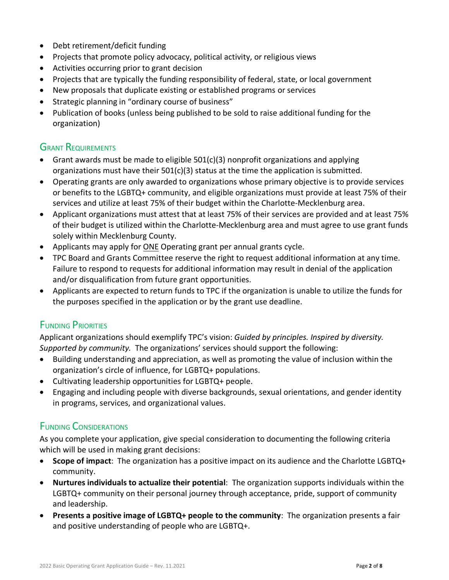- Debt retirement/deficit funding
- Projects that promote policy advocacy, political activity, or religious views
- Activities occurring prior to grant decision
- Projects that are typically the funding responsibility of federal, state, or local government
- New proposals that duplicate existing or established programs or services
- Strategic planning in "ordinary course of business"
- Publication of books (unless being published to be sold to raise additional funding for the organization)

#### **GRANT REQUIREMENTS**

- Grant awards must be made to eligible  $501(c)(3)$  nonprofit organizations and applying organizations must have their  $501(c)(3)$  status at the time the application is submitted.
- Operating grants are only awarded to organizations whose primary objective is to provide services or benefits to the LGBTQ+ community, and eligible organizations must provide at least 75% of their services and utilize at least 75% of their budget within the Charlotte-Mecklenburg area.
- Applicant organizations must attest that at least 75% of their services are provided and at least 75% of their budget is utilized within the Charlotte-Mecklenburg area and must agree to use grant funds solely within Mecklenburg County.
- Applicants may apply for **ONE** Operating grant per annual grants cycle.
- TPC Board and Grants Committee reserve the right to request additional information at any time. Failure to respond to requests for additional information may result in denial of the application and/or disqualification from future grant opportunities.
- Applicants are expected to return funds to TPC if the organization is unable to utilize the funds for the purposes specified in the application or by the grant use deadline.

## FUNDING PRIORITIES

Applicant organizations should exemplify TPC's vision: *Guided by principles. Inspired by diversity. Supported by community.* The organizations' services should support the following:

- Building understanding and appreciation, as well as promoting the value of inclusion within the organization's circle of influence, for LGBTQ+ populations.
- Cultivating leadership opportunities for LGBTQ+ people.
- Engaging and including people with diverse backgrounds, sexual orientations, and gender identity in programs, services, and organizational values.

## FUNDING CONSIDERATIONS

As you complete your application, give special consideration to documenting the following criteria which will be used in making grant decisions:

- **Scope of impact**: The organization has a positive impact on its audience and the Charlotte LGBTQ+ community.
- **Nurtures individuals to actualize their potential**: The organization supports individuals within the LGBTQ+ community on their personal journey through acceptance, pride, support of community and leadership.
- **Presents a positive image of LGBTQ+ people to the community**: The organization presents a fair and positive understanding of people who are LGBTQ+.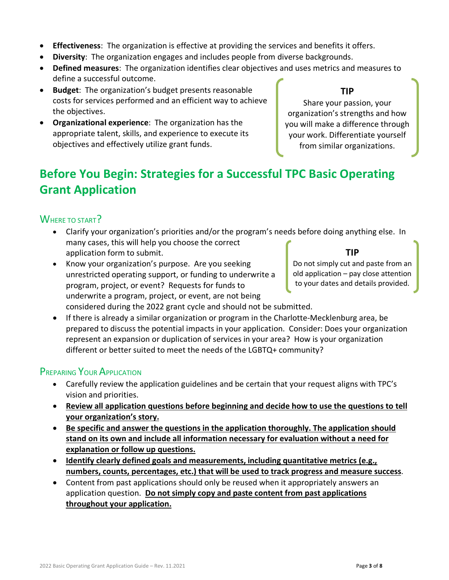- **Effectiveness**: The organization is effective at providing the services and benefits it offers.
- **Diversity**: The organization engages and includes people from diverse backgrounds.
- **Defined measures**: The organization identifies clear objectives and uses metrics and measures to define a successful outcome.
- **Budget**: The organization's budget presents reasonable costs for services performed and an efficient way to achieve the objectives.
- **Organizational experience**: The organization has the appropriate talent, skills, and experience to execute its objectives and effectively utilize grant funds.

Share your passion, your organization's strengths and how you will make a difference through your work. Differentiate yourself from similar organizations.

**TIP**

# **Before You Begin: Strategies for a Successful TPC Basic Operating Grant Application**

# WHERE TO START?

- Clarify your organization's priorities and/or the program's needs before doing anything else. In many cases, this will help you choose the correct application form to submit. **TIP**
- Know your organization's purpose. Are you seeking unrestricted operating support, or funding to underwrite a program, project, or event? Requests for funds to underwrite a program, project, or event, are not being considered during the 2022 grant cycle and should not be submitted.

Do not simply cut and paste from an old application – pay close attention to your dates and details provided.

• If there is already a similar organization or program in the Charlotte-Mecklenburg area, be prepared to discuss the potential impacts in your application. Consider: Does your organization represent an expansion or duplication of services in your area? How is your organization different or better suited to meet the needs of the LGBTQ+ community?

## PREPARING YOUR APPLICATION

- Carefully review the application guidelines and be certain that your request aligns with TPC's vision and priorities.
- **Review all application questions before beginning and decide how to use the questions to tell your organization's story.**
- **Be specific and answer the questions in the application thoroughly. The application should stand on its own and include all information necessary for evaluation without a need for explanation or follow up questions.**
- **Identify clearly defined goals and measurements, including quantitative metrics (e.g., numbers, counts, percentages, etc.) that will be used to track progress and measure success**.
- Content from past applications should only be reused when it appropriately answers an application question. **Do not simply copy and paste content from past applications throughout your application.**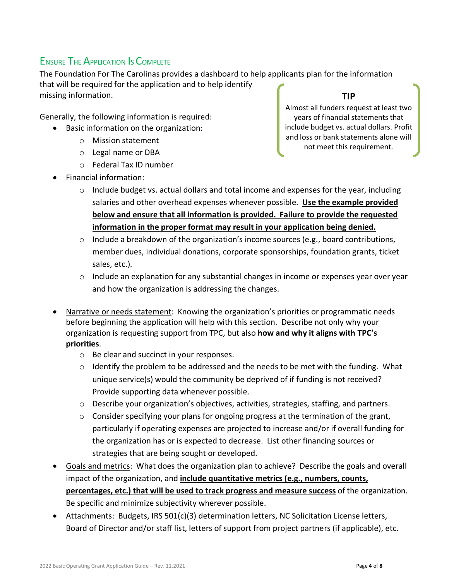# ENSURE THE APPLICATION IS COMPLETE

The Foundation For The Carolinas provides a dashboard to help applicants plan for the information that will be required for the application and to help identify missing information. **TIP**

Generally, the following information is required:

- Basic information on the organization:
	- o Mission statement
	- o Legal name or DBA
	- o Federal Tax ID number
- Financial information:

Almost all funders request at least two years of financial statements that include budget vs. actual dollars. Profit and loss or bank statements alone will

not meet this requirement.

- $\circ$  Include budget vs. actual dollars and total income and expenses for the year, including salaries and other overhead expenses whenever possible. **Use the example provided below and ensure that all information is provided. Failure to provide the requested information in the proper format may result in your application being denied.**
- $\circ$  Include a breakdown of the organization's income sources (e.g., board contributions, member dues, individual donations, corporate sponsorships, foundation grants, ticket sales, etc.).
- $\circ$  Include an explanation for any substantial changes in income or expenses year over year and how the organization is addressing the changes.
- Narrative or needs statement: Knowing the organization's priorities or programmatic needs before beginning the application will help with this section. Describe not only why your organization is requesting support from TPC, but also **how and why it aligns with TPC's priorities**.
	- o Be clear and succinct in your responses.
	- $\circ$  Identify the problem to be addressed and the needs to be met with the funding. What unique service(s) would the community be deprived of if funding is not received? Provide supporting data whenever possible.
	- $\circ$  Describe your organization's objectives, activities, strategies, staffing, and partners.
	- o Consider specifying your plans for ongoing progress at the termination of the grant, particularly if operating expenses are projected to increase and/or if overall funding for the organization has or is expected to decrease. List other financing sources or strategies that are being sought or developed.
- Goals and metrics: What does the organization plan to achieve? Describe the goals and overall impact of the organization, and **include quantitative metrics (e.g., numbers, counts, percentages, etc.) that will be used to track progress and measure success** of the organization. Be specific and minimize subjectivity wherever possible.
- Attachments: Budgets, IRS 501(c)(3) determination letters, NC Solicitation License letters, Board of Director and/or staff list, letters of support from project partners (if applicable), etc.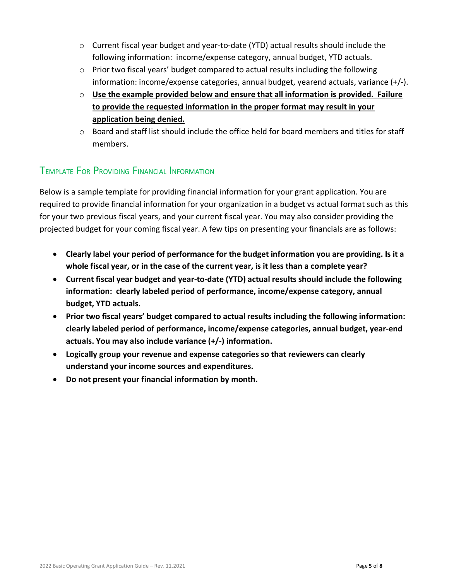- $\circ$  Current fiscal year budget and year-to-date (YTD) actual results should include the following information: income/expense category, annual budget, YTD actuals.
- o Prior two fiscal years' budget compared to actual results including the following information: income/expense categories, annual budget, yearend actuals, variance (+/-).
- o **Use the example provided below and ensure that all information is provided. Failure to provide the requested information in the proper format may result in your application being denied.**
- $\circ$  Board and staff list should include the office held for board members and titles for staff members.

# TEMPLATE FOR PROVIDING FINANCIAL INFORMATION

Below is a sample template for providing financial information for your grant application. You are required to provide financial information for your organization in a budget vs actual format such as this for your two previous fiscal years, and your current fiscal year. You may also consider providing the projected budget for your coming fiscal year. A few tips on presenting your financials are as follows:

- **Clearly label your period of performance for the budget information you are providing. Is it a whole fiscal year, or in the case of the current year, is it less than a complete year?**
- **Current fiscal year budget and year-to-date (YTD) actual results should include the following information: clearly labeled period of performance, income/expense category, annual budget, YTD actuals.**
- **Prior two fiscal years' budget compared to actual results including the following information: clearly labeled period of performance, income/expense categories, annual budget, year-end actuals. You may also include variance (+/-) information.**
- **Logically group your revenue and expense categories so that reviewers can clearly understand your income sources and expenditures.**
- **Do not present your financial information by month.**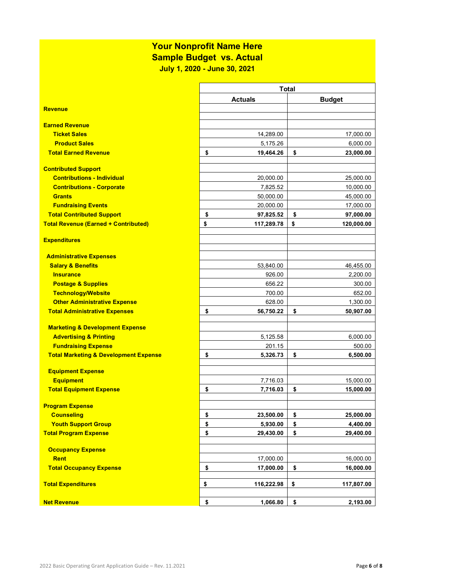# **Your Nonprofit Name Here**

**Sample Budget vs. Actual**

**July 1, 2020 - June 30, 2021**

|                                                  | <b>Total</b> |                |    |               |
|--------------------------------------------------|--------------|----------------|----|---------------|
|                                                  |              | <b>Actuals</b> |    | <b>Budget</b> |
| <b>Revenue</b>                                   |              |                |    |               |
|                                                  |              |                |    |               |
| <b>Earned Revenue</b>                            |              |                |    |               |
| <b>Ticket Sales</b>                              |              | 14,289.00      |    | 17,000.00     |
| <b>Product Sales</b>                             |              | 5,175.26       |    | 6,000.00      |
| <b>Total Earned Revenue</b>                      | \$           | 19,464.26      | \$ | 23,000.00     |
| <b>Contributed Support</b>                       |              |                |    |               |
| <b>Contributions - Individual</b>                |              | 20,000.00      |    | 25,000.00     |
| <b>Contributions - Corporate</b>                 |              | 7,825.52       |    | 10,000.00     |
| <b>Grants</b>                                    |              | 50,000.00      |    | 45,000.00     |
| <b>Fundraising Events</b>                        |              | 20,000.00      |    | 17,000.00     |
| <b>Total Contributed Support</b>                 | \$           | 97,825.52      | \$ | 97,000.00     |
| <b>Total Revenue (Earned + Contributed)</b>      | \$           | 117,289.78     | \$ | 120,000.00    |
|                                                  |              |                |    |               |
| <b>Expenditures</b>                              |              |                |    |               |
| <b>Administrative Expenses</b>                   |              |                |    |               |
| <b>Salary &amp; Benefits</b>                     |              | 53,840.00      |    | 46,455.00     |
| <b>Insurance</b>                                 |              | 926.00         |    | 2,200.00      |
| <b>Postage &amp; Supplies</b>                    |              | 656.22         |    | 300.00        |
| <b>Technology/Website</b>                        |              | 700.00         |    | 652.00        |
| <b>Other Administrative Expense</b>              |              | 628.00         |    | 1,300.00      |
| <b>Total Administrative Expenses</b>             | \$           | 56,750.22      | \$ | 50,907.00     |
|                                                  |              |                |    |               |
| <b>Marketing &amp; Development Expense</b>       |              |                |    |               |
| <b>Advertising &amp; Printing</b>                |              | 5,125.58       |    | 6,000.00      |
| <b>Fundraising Expense</b>                       |              | 201.15         |    | 500.00        |
| <b>Total Marketing &amp; Development Expense</b> | \$           | 5,326.73       | \$ | 6,500.00      |
| <b>Equipment Expense</b>                         |              |                |    |               |
| <b>Equipment</b>                                 |              | 7,716.03       |    | 15,000.00     |
| <b>Total Equipment Expense</b>                   | \$           | 7,716.03       | \$ | 15,000.00     |
|                                                  |              |                |    |               |
| <b>Program Expense</b>                           |              |                |    |               |
| <b>Counseling</b>                                | \$           | 23,500.00      | \$ | 25,000.00     |
| <b>Youth Support Group</b>                       | \$           | 5,930.00       | \$ | 4,400.00      |
| <b>Total Program Expense</b>                     | \$           | 29,430.00      | \$ | 29,400.00     |
|                                                  |              |                |    |               |
| <b>Occupancy Expense</b><br><b>Rent</b>          |              | 17,000.00      |    | 16,000.00     |
| <b>Total Occupancy Expense</b>                   |              |                |    |               |
|                                                  | \$           | 17,000.00      | \$ | 16,000.00     |
| <b>Total Expenditures</b>                        | \$           | 116,222.98     | \$ | 117,807.00    |
|                                                  |              |                |    |               |
| <b>Net Revenue</b>                               | \$           | 1,066.80       | \$ | 2,193.00      |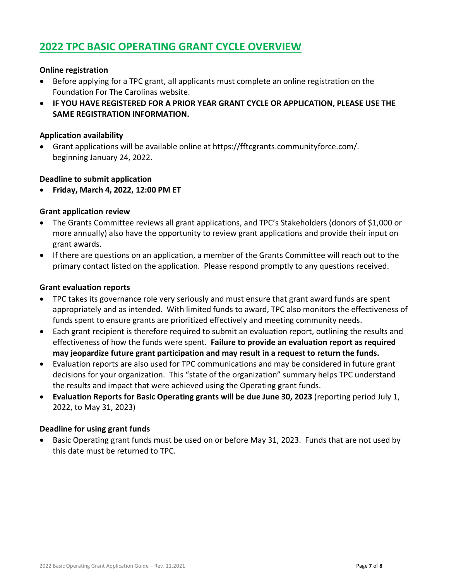# **2022 TPC BASIC OPERATING GRANT CYCLE OVERVIEW**

#### **Online registration**

- Before applying for a TPC grant, all applicants must complete an online registration on the Foundation For The Carolinas website.
- **IF YOU HAVE REGISTERED FOR A PRIOR YEAR GRANT CYCLE OR APPLICATION, PLEASE USE THE SAME REGISTRATION INFORMATION.**

#### **Application availability**

• Grant applications will be available online at [https://fftcgrants.communityforce.com/.](https://fftcgrants.communityforce.com/) beginning January 24, 2022.

#### **Deadline to submit application**

• **Friday, March 4, 2022, 12:00 PM ET** 

#### **Grant application review**

- The Grants Committee reviews all grant applications, and TPC's Stakeholders (donors of \$1,000 or more annually) also have the opportunity to review grant applications and provide their input on grant awards.
- If there are questions on an application, a member of the Grants Committee will reach out to the primary contact listed on the application. Please respond promptly to any questions received.

#### **Grant evaluation reports**

- TPC takes its governance role very seriously and must ensure that grant award funds are spent appropriately and as intended. With limited funds to award, TPC also monitors the effectiveness of funds spent to ensure grants are prioritized effectively and meeting community needs.
- Each grant recipient is therefore required to submit an evaluation report, outlining the results and effectiveness of how the funds were spent. **Failure to provide an evaluation report as required may jeopardize future grant participation and may result in a request to return the funds.**
- Evaluation reports are also used for TPC communications and may be considered in future grant decisions for your organization. This "state of the organization" summary helps TPC understand the results and impact that were achieved using the Operating grant funds.
- **Evaluation Reports for Basic Operating grants will be due June 30, 2023** (reporting period July 1, 2022, to May 31, 2023)

#### **Deadline for using grant funds**

• Basic Operating grant funds must be used on or before May 31, 2023. Funds that are not used by this date must be returned to TPC.